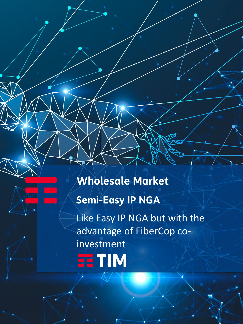**Wholesale Market**

# **Semi-Easy IP NGA**

**EETIM** 

Like Easy IP NGA but with the advantage of FiberCop coinvestment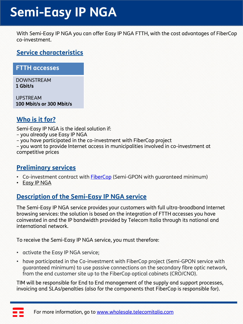# **Semi-Easy IP NGA**

With Semi-Easy IP NGA you can offer Easy IP NGA FTTH, with the cost advantages of FiberCop co-investment.

#### **Service characteristics**

#### **FTTH accesses**

DOWNSTREAM **1 Gbit/s**

UPSTREAM **100 Mbit/s or 300 Mbit/s**

### **Who is it for?**

Semi-Easy IP NGA is the ideal solution if:

- you already use Easy IP NGA
- you have participated in the co-investment with FiberCop project

– you want to provide Internet access in municipalities involved in co-investment at competitive prices

#### **Preliminary services**

- Co-investment contract with **[FiberCop](https://www.fibercop.it/servizi-offerti/servizi-di-accesso/semi-gpon/)** (Semi-GPON with guaranteed minimum)
- [Easy IP NGA](https://wdc.wholesale.telecomitalia.it/tw_servizi/easy-ip-nga/)

## **Description of the Semi-Easy IP NGA service**

The Semi-Easy IP NGA service provides your customers with full ultra-broadband Internet browsing services: the solution is based on the integration of FTTH accesses you have coinvested in and the IP bandwidth provided by Telecom Italia through its national and international network.

To receive the Semi-Easy IP NGA service, you must therefore:

- activate the Easy IP NGA service;
- have participated in the Co-investment with FiberCop project (Semi-GPON service with guaranteed minimum) to use passive connections on the secondary fibre optic network, from the end customer site up to the FiberCop optical cabinets (CRO/CNO).

TIM will be responsible for End to End management of the supply and support processes, invoicing and SLAs/penalties (also for the components that FiberCop is responsible for).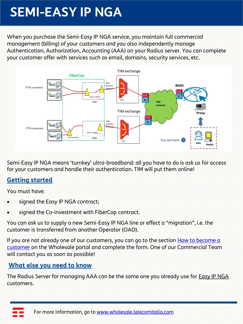# **SEMI-EASY IP NGA**

When you purchase the Semi-Easy IP NGA service, you maintain full commercial management (billing) of your customers and you also independently manage Authentication, Authorization, Accounting (AAA) on your Radius server. You can complete your customer offer with services such as email, domains, security services, etc.



Semi-Easy IP NGA means 'turnkey' ultra-broadband: all you have to do is ask us for access for your customers and handle their authentication. TIM will put them online!

### **Getting started**

You must have:

- signed the Easy IP NGA contract;
- signed the Co-investment with FiberCop contract.

You can ask us to supply a new Semi-Easy IP NGA line or effect a "migration", i.e. the customer is transferred from another Operator (OAO).

If you are not already one of our customers, you can go to the section How to become a customer on the Wholesale portal and complete the form. One of our Commercial Team will contact you as soon as possible!

#### **What else you need to know**

The Radius Server for managing AAA can be the same one you already use for **Easy IP NGA** customers.

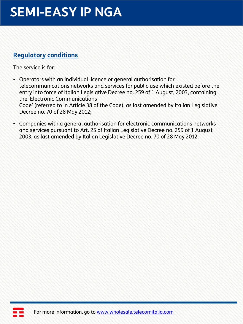# **SEMI-EASY IP NGA**

### **Regulatory conditions**

The service is for:

- Operators with an individual licence or general authorisation for telecommunications networks and services for public use which existed before the entry into force of Italian Legislative Decree no. 259 of 1 August, 2003, containing the 'Electronic Communications Code' (referred to in Article 38 of the Code), as last amended by Italian Legislative Decree no. 70 of 28 May 2012;
- Companies with a general authorisation for electronic communications networks and services pursuant to Art. 25 of Italian Legislative Decree no. 259 of 1 August 2003, as last amended by Italian Legislative Decree no. 70 of 28 May 2012.